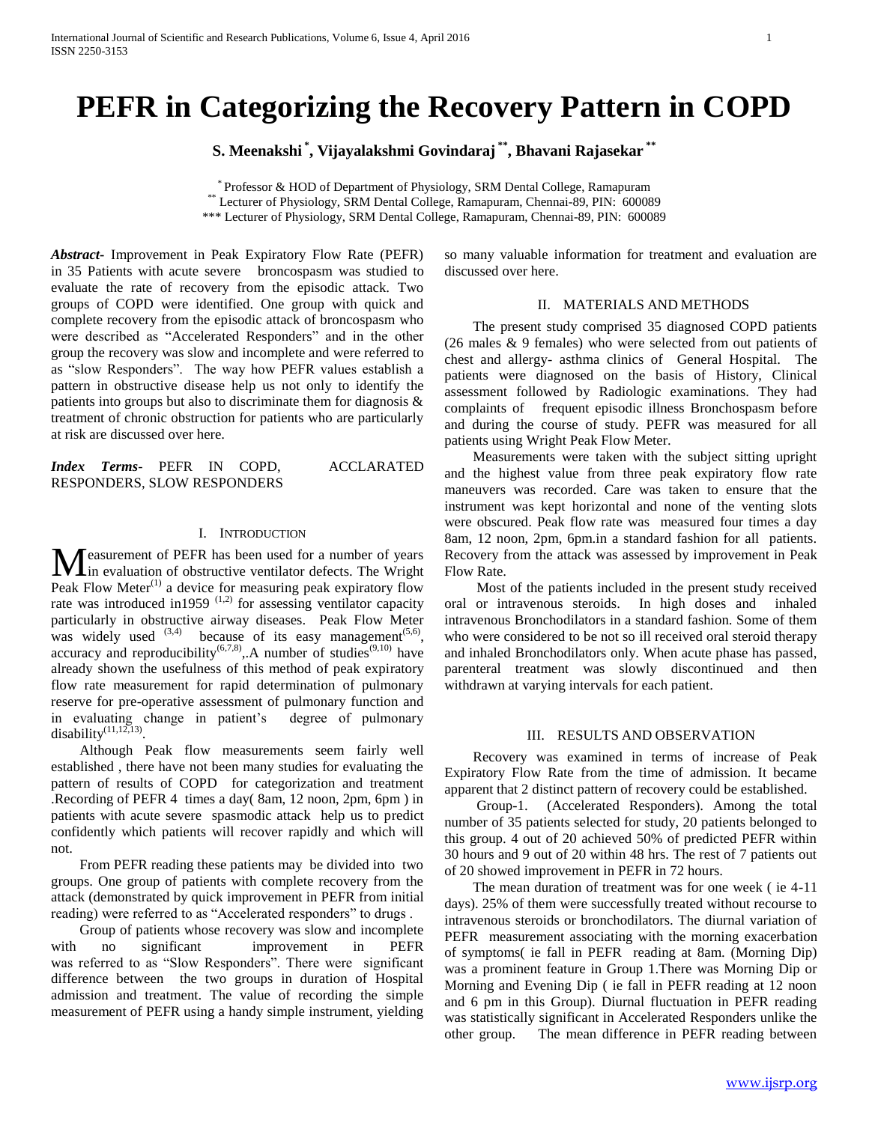# **PEFR in Categorizing the Recovery Pattern in COPD**

**S. Meenakshi \* , Vijayalakshmi Govindaraj \*\* , Bhavani Rajasekar \*\***

\* Professor & HOD of Department of Physiology, SRM Dental College, Ramapuram \*\* Lecturer of Physiology, SRM Dental College, Ramapuram, Chennai-89, PIN: 600089 \*\*\* Lecturer of Physiology, SRM Dental College, Ramapuram, Chennai-89, PIN: 600089

*Abstract***-** Improvement in Peak Expiratory Flow Rate (PEFR) in 35 Patients with acute severe broncospasm was studied to evaluate the rate of recovery from the episodic attack. Two groups of COPD were identified. One group with quick and complete recovery from the episodic attack of broncospasm who were described as "Accelerated Responders" and in the other group the recovery was slow and incomplete and were referred to as "slow Responders". The way how PEFR values establish a pattern in obstructive disease help us not only to identify the patients into groups but also to discriminate them for diagnosis & treatment of chronic obstruction for patients who are particularly at risk are discussed over here.

*Index Terms*- PEFR IN COPD, ACCLARATED RESPONDERS, SLOW RESPONDERS

## I. INTRODUCTION

easurement of PEFR has been used for a number of years **M** easurement of PEFR has been used for a number of years<br>in evaluation of obstructive ventilator defects. The Wright Peak Flow Meter<sup>(1)</sup> a device for measuring peak expiratory flow rate was introduced in1959  $(1,2)$  for assessing ventilator capacity particularly in obstructive airway diseases. Peak Flow Meter was widely used  $^{(3,4)}$  because of its easy management<sup> $(5,6)$ </sup>, accuracy and reproducibility<sup>(6,7,8)</sup>,.A number of studies<sup>(9,10)</sup> have already shown the usefulness of this method of peak expiratory flow rate measurement for rapid determination of pulmonary reserve for pre-operative assessment of pulmonary function and in evaluating change in patient's degree of pulmonary disability $(11,12,13)$ .

 Although Peak flow measurements seem fairly well established , there have not been many studies for evaluating the pattern of results of COPD for categorization and treatment .Recording of PEFR 4 times a day( 8am, 12 noon, 2pm, 6pm ) in patients with acute severe spasmodic attack help us to predict confidently which patients will recover rapidly and which will not.

 From PEFR reading these patients may be divided into two groups. One group of patients with complete recovery from the attack (demonstrated by quick improvement in PEFR from initial reading) were referred to as "Accelerated responders" to drugs .

 Group of patients whose recovery was slow and incomplete with no significant improvement in PEFR was referred to as "Slow Responders". There were significant difference between the two groups in duration of Hospital admission and treatment. The value of recording the simple measurement of PEFR using a handy simple instrument, yielding

so many valuable information for treatment and evaluation are discussed over here.

## II. MATERIALS AND METHODS

 The present study comprised 35 diagnosed COPD patients (26 males & 9 females) who were selected from out patients of chest and allergy- asthma clinics of General Hospital. The patients were diagnosed on the basis of History, Clinical assessment followed by Radiologic examinations. They had complaints of frequent episodic illness Bronchospasm before and during the course of study. PEFR was measured for all patients using Wright Peak Flow Meter.

 Measurements were taken with the subject sitting upright and the highest value from three peak expiratory flow rate maneuvers was recorded. Care was taken to ensure that the instrument was kept horizontal and none of the venting slots were obscured. Peak flow rate was measured four times a day 8am, 12 noon, 2pm, 6pm.in a standard fashion for all patients. Recovery from the attack was assessed by improvement in Peak Flow Rate.

 Most of the patients included in the present study received oral or intravenous steroids. In high doses and inhaled intravenous Bronchodilators in a standard fashion. Some of them who were considered to be not so ill received oral steroid therapy and inhaled Bronchodilators only. When acute phase has passed, parenteral treatment was slowly discontinued and then withdrawn at varying intervals for each patient.

#### III. RESULTS AND OBSERVATION

 Recovery was examined in terms of increase of Peak Expiratory Flow Rate from the time of admission. It became apparent that 2 distinct pattern of recovery could be established.

 Group-1. (Accelerated Responders). Among the total number of 35 patients selected for study, 20 patients belonged to this group. 4 out of 20 achieved 50% of predicted PEFR within 30 hours and 9 out of 20 within 48 hrs. The rest of 7 patients out of 20 showed improvement in PEFR in 72 hours.

 The mean duration of treatment was for one week ( ie 4-11 days). 25% of them were successfully treated without recourse to intravenous steroids or bronchodilators. The diurnal variation of PEFR measurement associating with the morning exacerbation of symptoms( ie fall in PEFR reading at 8am. (Morning Dip) was a prominent feature in Group 1.There was Morning Dip or Morning and Evening Dip ( ie fall in PEFR reading at 12 noon and 6 pm in this Group). Diurnal fluctuation in PEFR reading was statistically significant in Accelerated Responders unlike the other group. The mean difference in PEFR reading between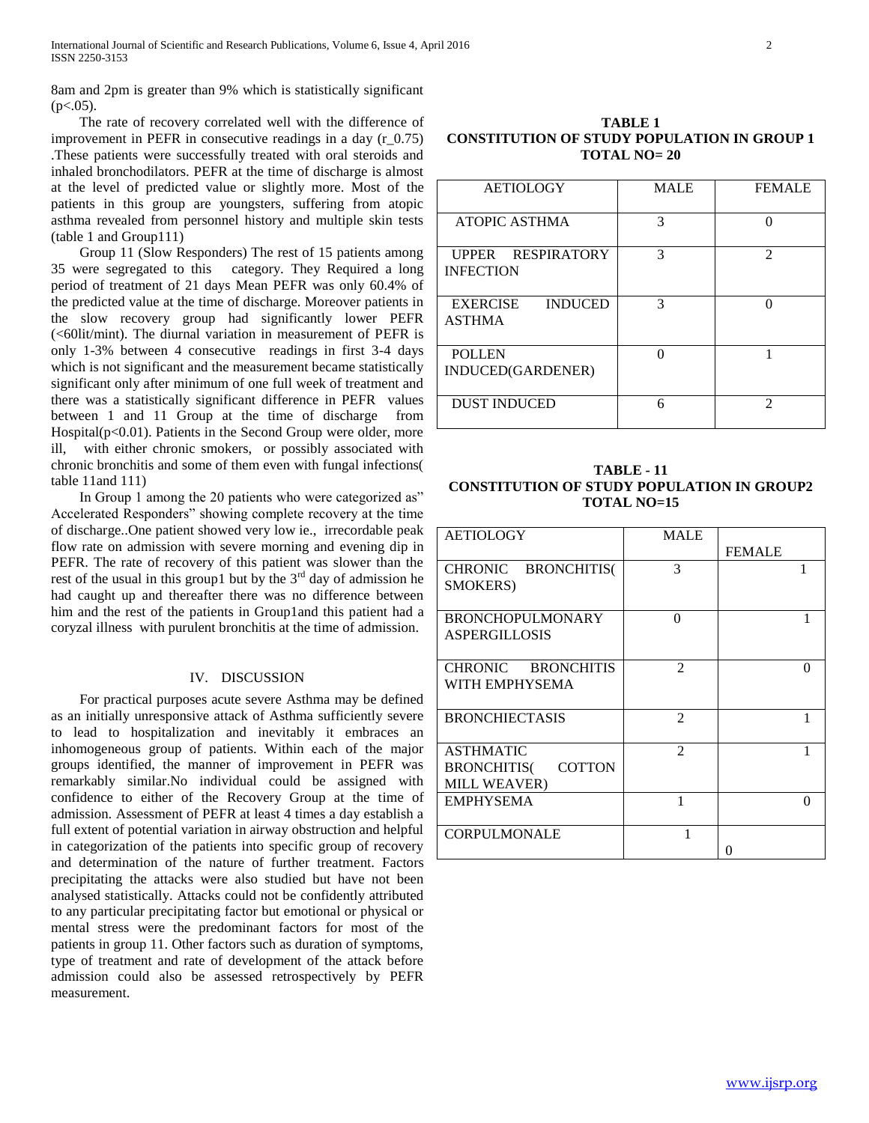8am and 2pm is greater than 9% which is statistically significant  $(p<.05)$ .

 The rate of recovery correlated well with the difference of improvement in PEFR in consecutive readings in a day  $(r_0.75)$ .These patients were successfully treated with oral steroids and inhaled bronchodilators. PEFR at the time of discharge is almost at the level of predicted value or slightly more. Most of the patients in this group are youngsters, suffering from atopic asthma revealed from personnel history and multiple skin tests (table 1 and Group111)

 Group 11 (Slow Responders) The rest of 15 patients among 35 were segregated to this category. They Required a long period of treatment of 21 days Mean PEFR was only 60.4% of the predicted value at the time of discharge. Moreover patients in the slow recovery group had significantly lower PEFR (<60lit/mint). The diurnal variation in measurement of PEFR is only 1-3% between 4 consecutive readings in first 3-4 days which is not significant and the measurement became statistically significant only after minimum of one full week of treatment and there was a statistically significant difference in PEFR values between 1 and 11 Group at the time of discharge from Hospital $(p<0.01)$ . Patients in the Second Group were older, more ill, with either chronic smokers, or possibly associated with chronic bronchitis and some of them even with fungal infections( table 11and 111)

 In Group 1 among the 20 patients who were categorized as" Accelerated Responders" showing complete recovery at the time of discharge..One patient showed very low ie., irrecordable peak flow rate on admission with severe morning and evening dip in PEFR. The rate of recovery of this patient was slower than the rest of the usual in this group1 but by the  $3<sup>rd</sup>$  day of admission he had caught up and thereafter there was no difference between him and the rest of the patients in Group1and this patient had a coryzal illness with purulent bronchitis at the time of admission.

### IV. DISCUSSION

 For practical purposes acute severe Asthma may be defined as an initially unresponsive attack of Asthma sufficiently severe to lead to hospitalization and inevitably it embraces an inhomogeneous group of patients. Within each of the major groups identified, the manner of improvement in PEFR was remarkably similar.No individual could be assigned with confidence to either of the Recovery Group at the time of admission. Assessment of PEFR at least 4 times a day establish a full extent of potential variation in airway obstruction and helpful in categorization of the patients into specific group of recovery and determination of the nature of further treatment. Factors precipitating the attacks were also studied but have not been analysed statistically. Attacks could not be confidently attributed to any particular precipitating factor but emotional or physical or mental stress were the predominant factors for most of the patients in group 11. Other factors such as duration of symptoms, type of treatment and rate of development of the attack before admission could also be assessed retrospectively by PEFR measurement.

**TABLE 1 CONSTITUTION OF STUDY POPULATION IN GROUP 1 TOTAL NO= 20**

| <b>AETIOLOGY</b>                                   | <b>MALE</b> | <b>FEMALE</b>               |
|----------------------------------------------------|-------------|-----------------------------|
| <b>ATOPIC ASTHMA</b>                               | 3           | 0                           |
| RESPIRATORY<br><b>UPPER</b><br><b>INFECTION</b>    | 3           | $\mathfrak{D}$              |
| <b>INDUCED</b><br><b>EXERCISE</b><br><b>ASTHMA</b> | 3           | $\Omega$                    |
| <b>POLLEN</b><br>INDUCED(GARDENER)                 | $\Omega$    |                             |
| <b>DUST INDUCED</b>                                | 6           | $\mathcal{D}_{\mathcal{L}}$ |

## **TABLE - 11 CONSTITUTION OF STUDY POPULATION IN GROUP2 TOTAL NO=15**

| <b>AETIOLOGY</b>             | <b>MALE</b>    |                   |
|------------------------------|----------------|-------------------|
|                              |                | <b>FEMALE</b>     |
| CHRONIC BRONCHITIS(          | 3              |                   |
| SMOKERS)                     |                |                   |
|                              |                |                   |
| <b>BRONCHOPULMONARY</b>      | ∩              |                   |
| <b>ASPERGILLOSIS</b>         |                |                   |
|                              |                |                   |
| CHRONIC BRONCHITIS           | $\mathfrak{D}$ | $\Omega$          |
| WITH EMPHYSEMA               |                |                   |
|                              |                |                   |
| <b>BRONCHIECTASIS</b>        | $\mathfrak{D}$ |                   |
|                              |                |                   |
| <b>ASTHMATIC</b>             | $\mathfrak{D}$ |                   |
| COTTON<br><b>BRONCHITIS(</b> |                |                   |
| <b>MILL WEAVER)</b>          |                |                   |
| <b>EMPHYSEMA</b>             | 1              | $\mathbf{\Omega}$ |
|                              |                |                   |
| <b>CORPULMONALE</b>          |                |                   |
|                              |                |                   |